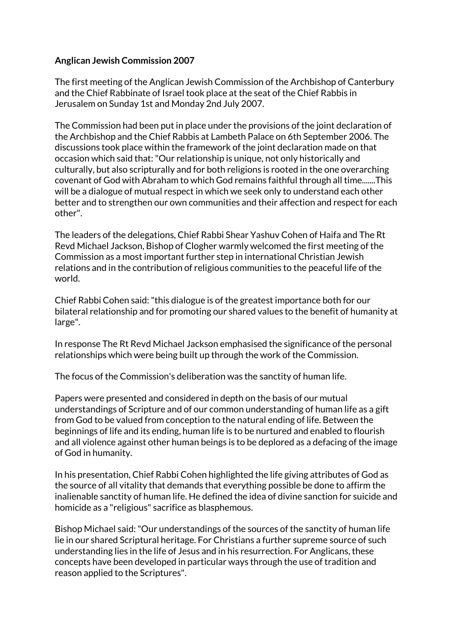## **Anglican Jewish Commission 2007**

The first meeting of the Anglican Jewish Commission of the Archbishop of Canterbury and the Chief Rabbinate of Israel took place at the seat of the Chief Rabbis in Jerusalem on Sunday 1st and Monday 2nd July 2007.

The Commission had been put in place under the provisions of the joint declaration of the Archbishop and the Chief Rabbis at Lambeth Palace on 6th September 2006. The discussions took place within the framework of the joint declaration made on that occasion which said that: "Our relationship is unique, not only historically and culturally, but also scripturally and for both religions is rooted in the one overarching covenant of God with Abraham to which God remains faithful through all time.......This will be a dialogue of mutual respect in which we seek only to understand each other better and to strengthen our own communities and their affection and respect for each other".

The leaders of the delegations, Chief Rabbi Shear Yashuv Cohen of Haifa and The Rt Revd Michael Jackson, Bishop of Clogher warmly welcomed the first meeting of the Commission as a most important further step in international Christian Jewish relations and in the contribution of religious communities to the peaceful life of the world.

Chief Rabbi Cohen said: "this dialogue is of the greatest importance both for our bilateral relationship and for promoting our shared values to the benefit of humanity at large".

In response The Rt Revd Michael Jackson emphasised the significance of the personal relationships which were being built up through the work of the Commission.

The focus of the Commission's deliberation was the sanctity of human life.

Papers were presented and considered in depth on the basis of our mutual understandings of Scripture and of our common understanding of human life as a gift from God to be valued from conception to the natural ending of life. Between the beginnings of life and its ending, human life is to be nurtured and enabled to flourish and all violence against other human beings is to be deplored as a defacing of the image of God in humanity.

In his presentation, Chief Rabbi Cohen highlighted the life giving attributes of God as the source of all vitality that demands that everything possible be done to affirm the inalienable sanctity of human life. He defined the idea of divine sanction for suicide and homicide as a "religious" sacrifice as blasphemous.

Bishop Michael said: "Our understandings of the sources of the sanctity of human life lie in our shared Scriptural heritage. For Christians a further supreme source of such understanding lies in the life of Jesus and in his resurrection. For Anglicans, these concepts have been developed in particular ways through the use of tradition and reason applied to the Scriptures".